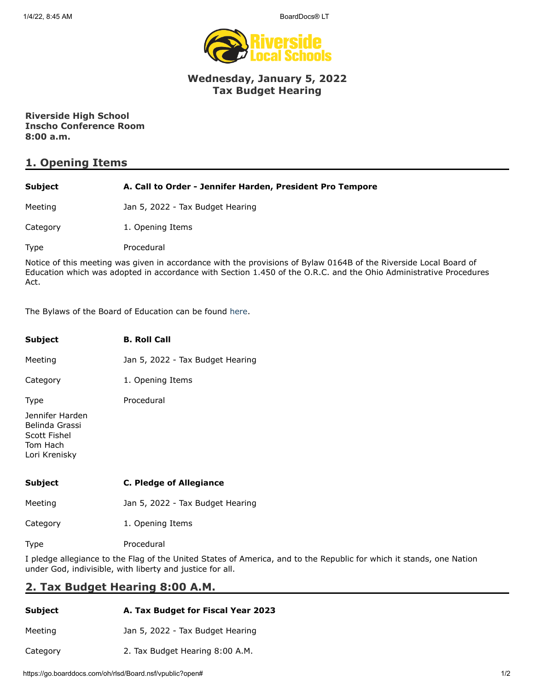1/4/22, 8:45 AM BoardDocs® LT



### **Wednesday, January 5, 2022 Tax Budget Hearing**

**Riverside High School Inscho Conference Room 8:00 a.m.**

## **1. Opening Items**

| <b>Subject</b> | A. Call to Order - Jennifer Harden, President Pro Tempore                                                                                                                                                                              |
|----------------|----------------------------------------------------------------------------------------------------------------------------------------------------------------------------------------------------------------------------------------|
| Meeting        | Jan 5, 2022 - Tax Budget Hearing                                                                                                                                                                                                       |
| Category       | 1. Opening Items                                                                                                                                                                                                                       |
| Type           | Procedural                                                                                                                                                                                                                             |
| Act.           | Notice of this meeting was given in accordance with the provisions of Bylaw 0164B of the Riverside Local Board of<br>Education which was adopted in accordance with Section 1.450 of the O.R.C. and the Ohio Administrative Procedures |

The Bylaws of the Board of Education can be found [here.](http://www.neola.com/riverside(lake)-oh/)

| <b>Subject</b>                                                                 | <b>B. Roll Call</b>              |
|--------------------------------------------------------------------------------|----------------------------------|
| Meeting                                                                        | Jan 5, 2022 - Tax Budget Hearing |
| Category                                                                       | 1. Opening Items                 |
| <b>Type</b>                                                                    | Procedural                       |
| Jennifer Harden<br>Belinda Grassi<br>Scott Fishel<br>Tom Hach<br>Lori Krenisky |                                  |
| Subject                                                                        | C. Pledge of Allegiance          |
| Meeting                                                                        | Jan 5, 2022 - Tax Budget Hearing |
| Category                                                                       | 1. Opening Items                 |

Type Procedural

I pledge allegiance to the Flag of the United States of America, and to the Republic for which it stands, one Nation under God, indivisible, with liberty and justice for all.

# **2. Tax Budget Hearing 8:00 A.M.**

| Subject  | A. Tax Budget for Fiscal Year 2023 |
|----------|------------------------------------|
| Meeting  | Jan 5, 2022 - Tax Budget Hearing   |
| Category | 2. Tax Budget Hearing 8:00 A.M.    |